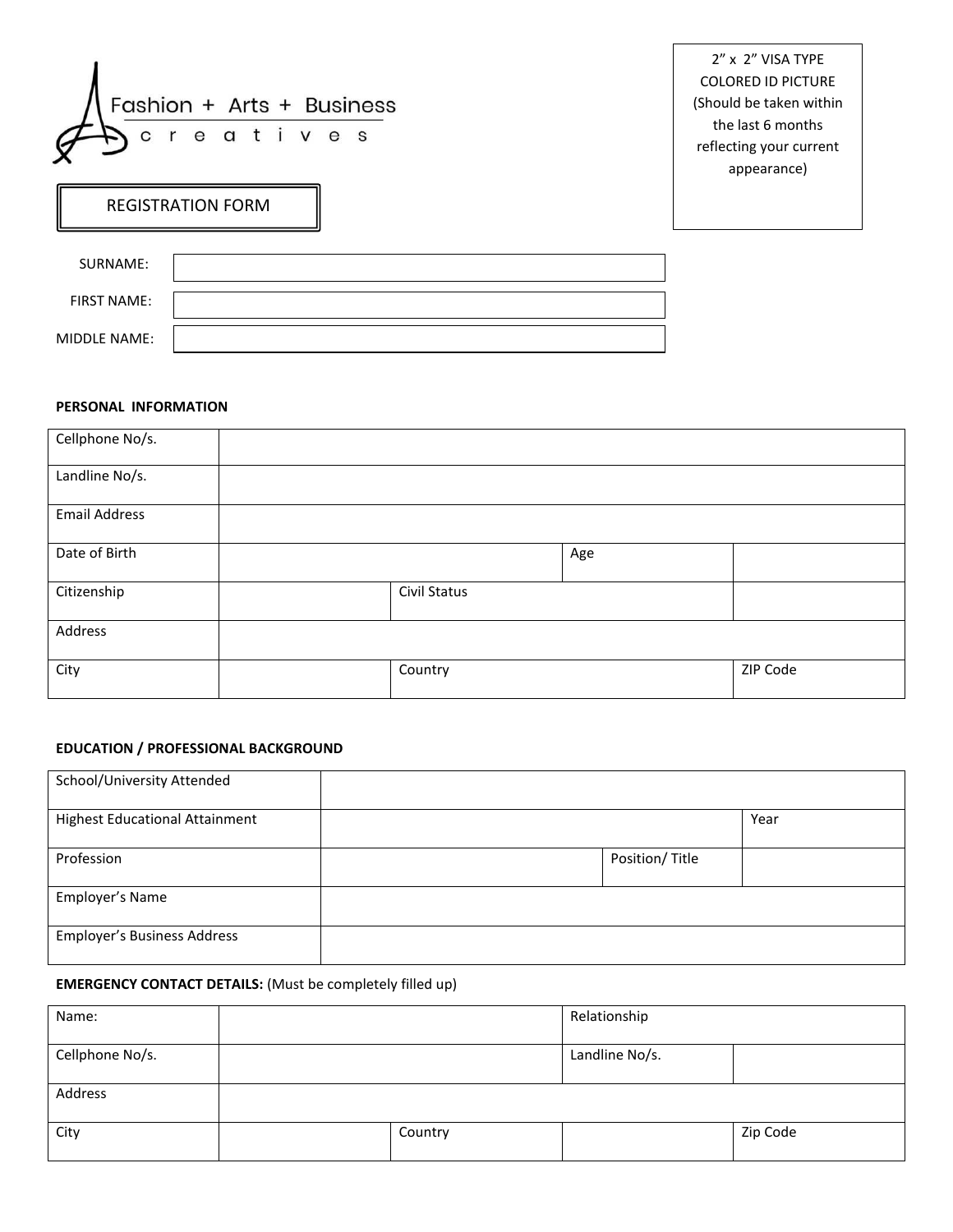|  |           |  |  | $\Lambda$ Fashion + Arts + Business |  |
|--|-----------|--|--|-------------------------------------|--|
|  | creatives |  |  |                                     |  |

2" x 2" VISA TYPE COLORED ID PICTURE (Should be taken within the last 6 months reflecting your current appearance)

REGISTRATION FORM

| SURNAME:           |  |
|--------------------|--|
| <b>FIRST NAME:</b> |  |
| MIDDLE NAME:       |  |

#### **PERSONAL INFORMATION**

| Cellphone No/s.      |              |     |          |
|----------------------|--------------|-----|----------|
| Landline No/s.       |              |     |          |
| <b>Email Address</b> |              |     |          |
| Date of Birth        |              | Age |          |
| Citizenship          | Civil Status |     |          |
| Address              |              |     |          |
| City                 | Country      |     | ZIP Code |

#### **EDUCATION / PROFESSIONAL BACKGROUND**

| School/University Attended            |                |      |
|---------------------------------------|----------------|------|
| <b>Highest Educational Attainment</b> |                | Year |
| Profession                            | Position/Title |      |
| Employer's Name                       |                |      |
| <b>Employer's Business Address</b>    |                |      |

### **EMERGENCY CONTACT DETAILS:** (Must be completely filled up)

| Name:           |         | Relationship   |          |
|-----------------|---------|----------------|----------|
| Cellphone No/s. |         | Landline No/s. |          |
| Address         |         |                |          |
| City            | Country |                | Zip Code |